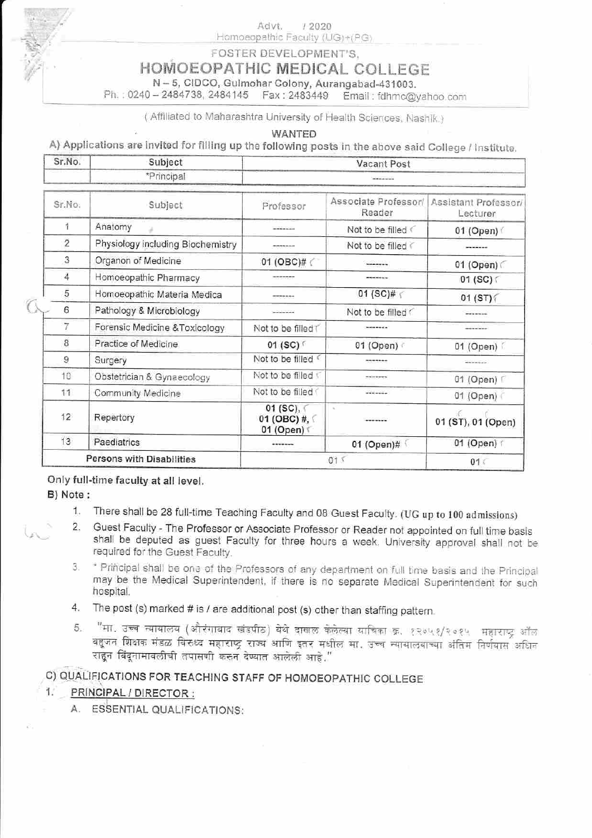Advt.  $12020$ Homoeopathic Faculty (UG)+(PG)

FOSTER DEVELOPMENT'S.

# HOMOEOPATHIC MEDICAL COLLEGE

N-5, CIDCO, Gulmohar Colony, Aurangabad-431003.

Ph.: 0240 - 2484738, 2484145 Fax: 2483449 Email: fdhmc@yahoo.com

(Affiliated to Maharashtra University of Health Sciences, Nashik.)

**WANTED** 

A) Applications are invited for filling up the following posts in the above said College / Institute.

| Sr.No.                    | Subject                           | Vacant Post                                   |                                |                                  |
|---------------------------|-----------------------------------|-----------------------------------------------|--------------------------------|----------------------------------|
|                           | *Principal                        |                                               |                                |                                  |
| Sr.No.                    | Subject                           | Professor                                     | Associate Professor/<br>Reader | Assistant Professor/<br>Lecturer |
| 4                         | Anatomy                           | -------                                       | Not to be filled               | 01 (Open)                        |
| $\overline{2}$            | Physiology including Biochemistry |                                               | Not to be filled               |                                  |
| 3                         | Organon of Medicine               | 01 (OBC)# (                                   | ------                         | 01 (Open)                        |
| 4                         | Homoeopathic Pharmacy             |                                               | -------                        | 01 (SC) $\subset$                |
| 5                         | Homoeopathic Materia Medica       |                                               | 01 (SC)# $\sqrt{ }$            | 01 (ST)                          |
| 6                         | Pathology & Microbiology          |                                               | Not to be filled               |                                  |
| 7                         | Forensic Medicine & Toxicology    | Not to be filled T                            |                                |                                  |
| 8                         | Practice of Medicine              | 01 (SC) 「                                     | 01 (Open)                      | 01 (Open)                        |
| 9                         | Surgery                           | Not to be filled                              |                                | -------                          |
| 10                        | Obstetrician & Gynaecology        | Not to be filled \                            | *******                        | 01 (Open) [                      |
| 11                        | Community Medicine                | Not to be filled                              | -------                        | 01 (Open)                        |
| 12                        | Repertory                         | 01 (SC),<br>01 (OBC) #, $\left($<br>01 (Open) | $\mathcal{N}_{\mathcal{C}}$    | 01 (ST), 01 (Open)               |
| 13                        | Paediatrics                       |                                               | 01 (Open)#                     | 01 (Open) r                      |
| Persons with Disabilities |                                   | 015                                           |                                | 01<                              |

Only full-time faculty at all level.

B) Note:

O

- 1. There shall be 28 full-time Teaching Faculty and 08 Guest Faculty. (UG up to 100 admissions)
- 2. Guest Faculty The Professor or Associate Professor or Reader not appointed on full time basis shall be deputed as guest Faculty for three hours a week. University approval shall not be required for the Guest Faculty.
- \* Principal shall be one of the Professors of any department on full time basis and the Principal 3. may be the Medical Superintendent, if there is no separate Medical Superintendent for such hospital.
- 4. The post (s) marked # is / are additional post (s) other than staffing pattern.
- "मा. उच्च न्यायालय (औरंगाबाद खंडपीठ) येथे दाखल केलेल्या याचिका क्र. १२०५१/२०१५ महाराष्ट्र ऑल 5. बहुजन शिक्षक मंडळ विरुध्द महाराष्ट्र राज्य आणि इतर मधील मा. उच्च न्यायालयाच्या अंतिम निर्णयास अधिन राहन विंदुनामावलीची तपासणी करुन देण्यात आलेली आहे."

# C) QUALIFICATIONS FOR TEACHING STAFF OF HOMOEOPATHIC COLLEGE

#### 1. L PRINCIPAL / DIRECTOR :

A. ESSENTIAL QUALIFICATIONS: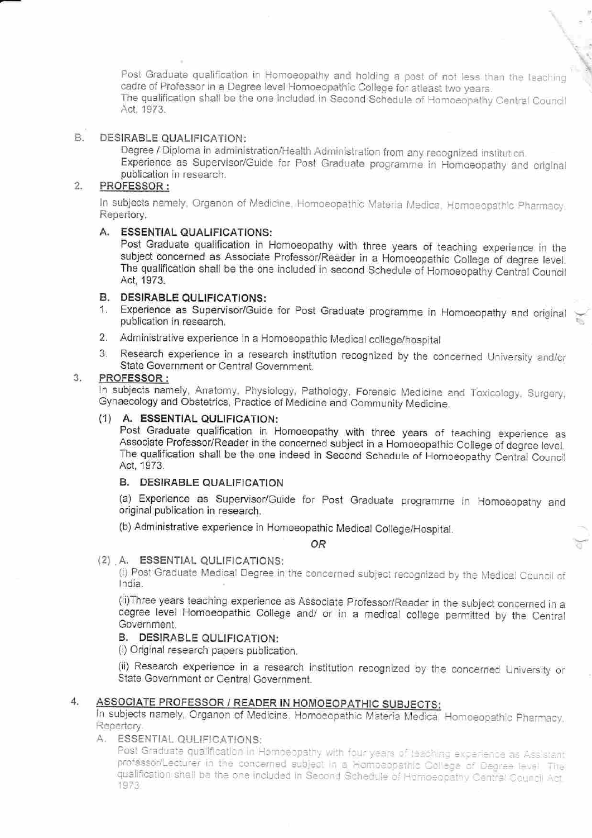Post Graduate qualification in Homoeopathy and holding a post of not less than the teaching cadre of Professor in a Degree level Homoeopathic College for aflaast iwo years. The qualification shali be the one included in Second Schedule of Homoeopathy Central Councll Act, 1973.

#### **B** DESIRABLE QUALIFICATION:

Degree / Diploma in administration/Health Administration from any recognized institution. Experience as Supervisor/Guide for Post Graduate programme in Homoeopathy and original publication in research.

#### $\overline{2}$ . PROFESSOR:

In subjects namely, Organon of Medicine, Homoeopathic Materia Medica. Homoeopathic Pharmacy. Repertory.

### A. ESSENTIAL QUALIFICATIONS:

Post Graduate qualification in Homoeopathy with three years of teaching experience in the subiect concerned as Associate Professor/Reader in a Homoeopathic College of degree level. The qualification shall be the one included in second Schedule of Homoeopaihy Cential Councii Act, 1973.

- B. DESIRABLE QULIFICATIONS:<br>1. Experience as Supervisor/Guide for Post Graduate programme in Homoeopathy and original publication in research.
- 2. Administrative experience in a Homoeopalhic Medical college/hospital
- 3. Research experience in a research institution recognized by the concerned University and/or State Government or Central Government.

#### PROFESSOR :  $3.$

In subjects namely, Anatomy, Physiology, Pathology, Forensic Medicine and Toxicology, Surgery, Gynaecology and Obstetrics, Practice of Medicine and Community Medicine.

#### (1) A, ESSENTIAL QULIFICATION:

Post Graduate qualification in Homoeopathy with three years of teaching experience as Associate Professor/Reader in the concerned subject in a Homoeopathic College of degree level. The qualification shall be the one indeed in Second Schedule of Homoeopathy Central Council Act, 1973.

### **B. DESIRABLE QUALIFICATION**

(a) Experience as supervisor/Guide for post Graduate programme in Homoeopathy and original publication in research.

(b) Administrative experience in Homoeopathic Medical College/Hospital.  $OR$ 

## {2) A. ESSENTIAL QULIFICATIONS:

(i) Post Graduate Medical Degree in the concerned subject recognized by the Medical Council of lndia.

(ii)Three years teaching experience as Associate Professor/Reader in the subject concerned in <sup>a</sup> degree level Homoeopathic College and/ or in a medical college permitted by the Central Government.

## B. DESIRABLE QULIFICATION:

(i) Original research papers publication.

(ii) Research experience in a research institution recognized by the concerned University or State Government or Central Government.

## 4.

ASSOCIATE PROFESSOR / READER IN HOMOEOPATHIC SUBJECTS:<br>In subjects namely, Organon of Medicine. Homoeopathic Materia Medica, Homoeopathic Pharmacy. Repertory.

## A. ESSENTIALQULIFICATIONS:

Post Graduate qualification in Homoeopathy with four years of teaching exparience as Assistant professor/Lecturer in the concerned subject in a Homoeopathic College of Degree level. The qualification shall be the one included in Second Schedule of Homoeopathy Central Council Act.<br>1973.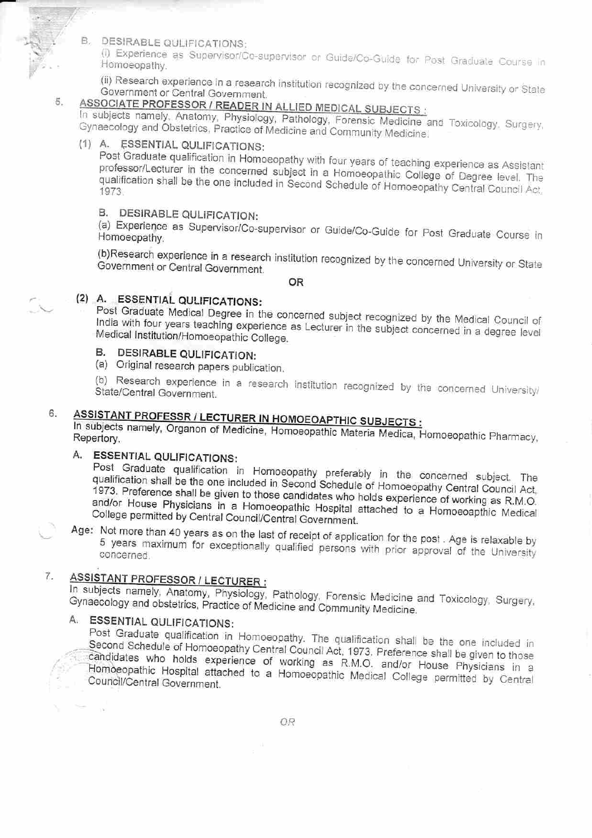

(i) Experience as Supervisor/Co-supervisor or Guide/Co-Guide for Post Graduate Course in Homoeopathy.

(ii) Research experience in a research institution recognized by the concerned University or State Government or Central Government.

#### ASSOCIATE PROFESSOR / READER IN ALLIED MEDICAL SUBJECTS : 5.

In subjects namely, Anatomy, Physiology, Pathology, Forensic Medicine and Toxicology, Surgery, Gynaecology and Obstetrics, Practice of Medicine and Community Medicine.

# (1) A. ESSENTIAL QULIFICATIONS:

Post Graduate qualification in Homoeopathy with four years of teaching experience as Assistant professor/Lecturer in the concerned subject in a Homoeopathic College of Degree level. The qualification shall be the one included in Second Schedule of Homoeopathy Central Council Act.

# **B. DESIRABLE QULIFICATION:**

(a) Experience as Supervisor/Co-supervisor or Guide/Co-Guide for Post Graduate Course in Homoeopathy.

(b)Research experience in a research institution recognized by the concerned University or State Government or Central Government.

**OR** 

# (2) A. ESSENTIAL QULIFICATIONS:

Post Graduate Medical Degree in the concerned subject recognized by the Medical Council of India with four years teaching experience as Lecturer in the subject concerned in a degree level Medical Institution/Homoeopathic College.

# **B. DESIRABLE QULIFICATION:**

(a) Original research papers publication.

(b) Research experience in a research institution recognized by the concerned University/ State/Central Government.

#### **ASSISTANT PROFESSR / LECTURER IN HOMOEOAPTHIC SUBJECTS:** 6.

In subjects namely, Organon of Medicine, Homoeopathic Materia Medica, Homoeopathic Pharmacy, Repertory.

# A. ESSENTIAL QULIFICATIONS:

Post Graduate qualification in Homoeopathy preferably in the concerned subject. The qualification shall be the one included in Second Schedule of Homoeopathy Central Council Act, 1973. Preference shall be given to those candidates who holds experience of working as R.M.O. and/or House Physicians in a Homoeopathic Hospital attached to a Homoeoapthic Medical College permitted by Central Council/Central Government.

Age: Not more than 40 years as on the last of receipt of application for the post. Age is relaxable by 5 years maximum for exceptionally qualified persons with prior approval of the University concerned.

#### **ASSISTANT PROFESSOR / LECTURER:** 7.

In subjects namely, Anatomy, Physiology, Pathology, Forensic Medicine and Toxicology, Surgery, Gynaecology and obstetrics, Practice of Medicine and Community Medicine.

# A. ESSENTIAL QULIFICATIONS:

Post Graduate qualification in Homoeopathy. The qualification shall be the one included in Second Schedule of Homoeopathy Central Council Act, 1973. Preference shall be given to those candidates who holds experience of working as R.M.O. and/or House Physicians in a Homoeopathic Hospital attached to a Homoeopathic Medical College permitted by Central Council/Central Government.